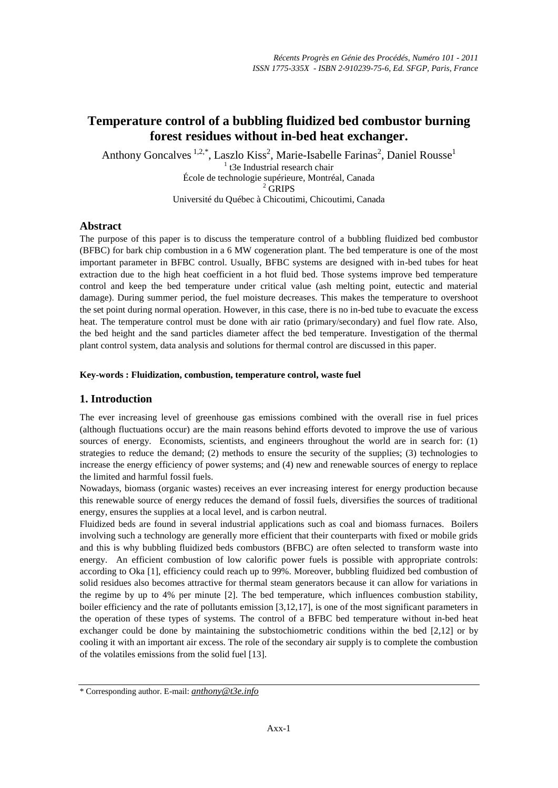# **Temperature control of a bubbling fluidized bed combustor burning forest residues without in-bed heat exchanger.**

Anthony Goncalves  $1.2$ ,\*, Laszlo Kiss<sup>2</sup>, Marie-Isabelle Farinas<sup>2</sup>, Daniel Rousse<sup>1</sup> <sup>1</sup> t3e Industrial research chair École de technologie supérieure, Montréal, Canada <sup>2</sup> GRIPS Université du Québec à Chicoutimi, Chicoutimi, Canada

### **Abstract**

The purpose of this paper is to discuss the temperature control of a bubbling fluidized bed combustor (BFBC) for bark chip combustion in a 6 MW cogeneration plant. The bed temperature is one of the most important parameter in BFBC control. Usually, BFBC systems are designed with in-bed tubes for heat extraction due to the high heat coefficient in a hot fluid bed. Those systems improve bed temperature control and keep the bed temperature under critical value (ash melting point, eutectic and material damage). During summer period, the fuel moisture decreases. This makes the temperature to overshoot the set point during normal operation. However, in this case, there is no in-bed tube to evacuate the excess heat. The temperature control must be done with air ratio (primary/secondary) and fuel flow rate. Also, the bed height and the sand particles diameter affect the bed temperature. Investigation of the thermal plant control system, data analysis and solutions for thermal control are discussed in this paper.

#### **Key-words : Fluidization, combustion, temperature control, waste fuel**

# **1. Introduction**

The ever increasing level of greenhouse gas emissions combined with the overall rise in fuel prices (although fluctuations occur) are the main reasons behind efforts devoted to improve the use of various sources of energy. Economists, scientists, and engineers throughout the world are in search for: (1) strategies to reduce the demand; (2) methods to ensure the security of the supplies; (3) technologies to increase the energy efficiency of power systems; and (4) new and renewable sources of energy to replace the limited and harmful fossil fuels.

Nowadays, biomass (organic wastes) receives an ever increasing interest for energy production because this renewable source of energy reduces the demand of fossil fuels, diversifies the sources of traditional energy, ensures the supplies at a local level, and is carbon neutral.

Fluidized beds are found in several industrial applications such as coal and biomass furnaces. Boilers involving such a technology are generally more efficient that their counterparts with fixed or mobile grids and this is why bubbling fluidized beds combustors (BFBC) are often selected to transform waste into energy. An efficient combustion of low calorific power fuels is possible with appropriate controls: according to Oka [1], efficiency could reach up to 99%. Moreover, bubbling fluidized bed combustion of solid residues also becomes attractive for thermal steam generators because it can allow for variations in the regime by up to 4% per minute [2]. The bed temperature, which influences combustion stability, boiler efficiency and the rate of pollutants emission [3,12,17], is one of the most significant parameters in the operation of these types of systems. The control of a BFBC bed temperature without in-bed heat exchanger could be done by maintaining the substochiometric conditions within the bed [2,12] or by cooling it with an important air excess. The role of the secondary air supply is to complete the combustion of the volatiles emissions from the solid fuel [13].

<sup>\*</sup> Corresponding author. E-mail: *[anthony@t3e.info](mailto:anthony@t3e.info)*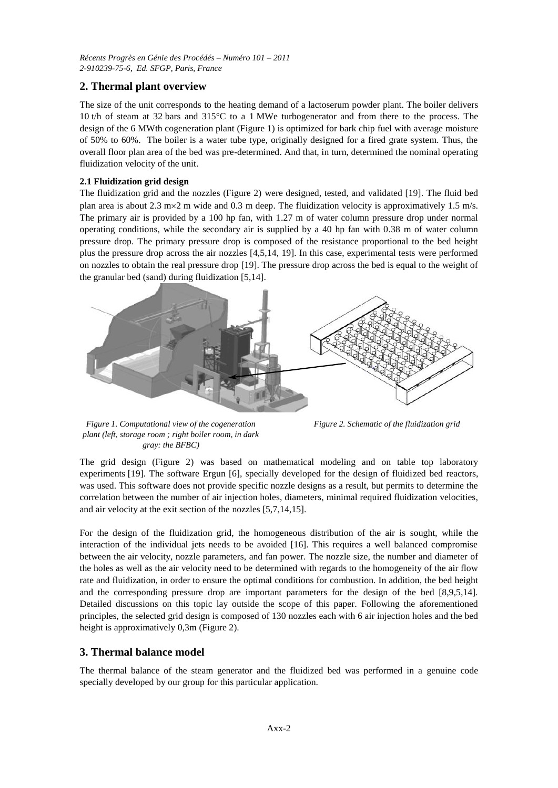*Récents Progrès en Génie des Procédés – Numéro 101 – 2011 2-910239-75-6, Ed. SFGP, Paris, France*

# **2. Thermal plant overview**

The size of the unit corresponds to the heating demand of a lactoserum powder plant. The boiler delivers 10 t/h of steam at 32 bars and 315°C to a 1 MWe turbogenerator and from there to the process. The design of the 6 MWth cogeneration plant (Figure 1) is optimized for bark chip fuel with average moisture of 50% to 60%. The boiler is a water tube type, originally designed for a fired grate system. Thus, the overall floor plan area of the bed was pre-determined. And that, in turn, determined the nominal operating fluidization velocity of the unit.

### **2.1 Fluidization grid design**

The fluidization grid and the nozzles (Figure 2) were designed, tested, and validated [19]. The fluid bed plan area is about 2.3 m $\times$  2 m wide and 0.3 m deep. The fluidization velocity is approximatively 1.5 m/s. The primary air is provided by a 100 hp fan, with 1.27 m of water column pressure drop under normal operating conditions, while the secondary air is supplied by a 40 hp fan with 0.38 m of water column pressure drop. The primary pressure drop is composed of the resistance proportional to the bed height plus the pressure drop across the air nozzles [4,5,14, 19]. In this case, experimental tests were performed on nozzles to obtain the real pressure drop [19]. The pressure drop across the bed is equal to the weight of the granular bed (sand) during fluidization [5,14].



*Figure 1. Computational view of the cogeneration plant (left, storage room ; right boiler room, in dark gray: the BFBC)*

*Figure 2. Schematic of the fluidization grid*

The grid design (Figure 2) was based on mathematical modeling and on table top laboratory experiments [19]. The software Ergun [6], specially developed for the design of fluidized bed reactors, was used. This software does not provide specific nozzle designs as a result, but permits to determine the correlation between the number of air injection holes, diameters, minimal required fluidization velocities, and air velocity at the exit section of the nozzles [5,7,14,15].

For the design of the fluidization grid, the homogeneous distribution of the air is sought, while the interaction of the individual jets needs to be avoided [16]. This requires a well balanced compromise between the air velocity, nozzle parameters, and fan power. The nozzle size, the number and diameter of the holes as well as the air velocity need to be determined with regards to the homogeneity of the air flow rate and fluidization, in order to ensure the optimal conditions for combustion. In addition, the bed height and the corresponding pressure drop are important parameters for the design of the bed [8,9,5,14]. Detailed discussions on this topic lay outside the scope of this paper. Following the aforementioned principles, the selected grid design is composed of 130 nozzles each with 6 air injection holes and the bed height is approximatively 0,3m (Figure 2).

### **3. Thermal balance model**

The thermal balance of the steam generator and the fluidized bed was performed in a genuine code specially developed by our group for this particular application.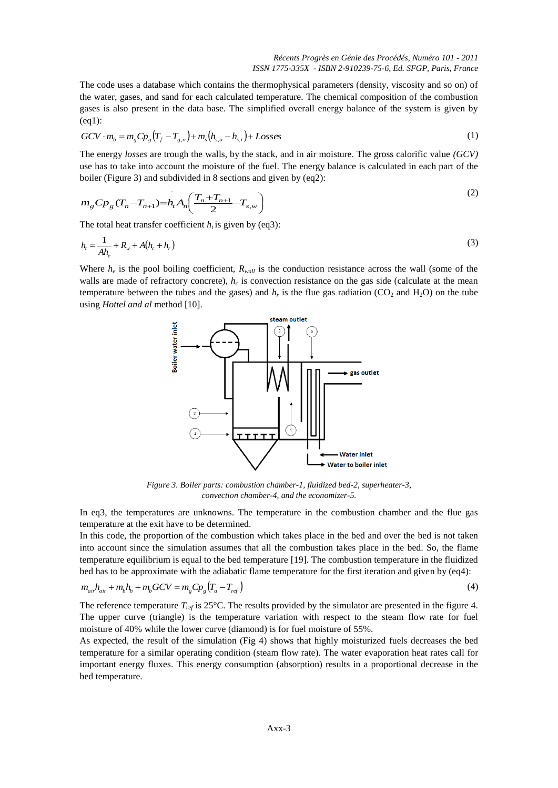The code uses a database which contains the thermophysical parameters (density, viscosity and so on) of the water, gases, and sand for each calculated temperature. The chemical composition of the combustion gases is also present in the data base. The simplified overall energy balance of the system is given by (eq1):

$$
GCV \cdot m_b = m_g Cp_g \left( T_f - T_{g,o} \right) + m_s \left( h_{s,o} - h_{s,i} \right) + Losses \tag{1}
$$

The energy *losses* are trough the walls, by the stack, and in air moisture. The gross calorific value *(GCV)* use has to take into account the moisture of the fuel. The energy balance is calculated in each part of the boiler (Figure 3) and subdivided in 8 sections and given by (eq2):

$$
m_{g}C_{P_{g}}(T_{n}-T_{n+1})=h_{t}A_{n}\left(\frac{T_{n}+T_{n+1}}{2}-T_{s,w}\right)
$$
\n(2)

The total heat transfer coefficient  $h_t$  is given by (eq3):

$$
h_{t} = \frac{1}{A h_{e}} + R_{w} + A (h_{c} + h_{r})
$$
\n(3)

Where  $h_e$  is the pool boiling coefficient,  $R_{wall}$  is the conduction resistance across the wall (some of the walls are made of refractory concrete),  $h_c$  is convection resistance on the gas side (calculate at the mean temperature between the tubes and the gases) and  $h_r$  is the flue gas radiation (CO<sub>2</sub> and H<sub>2</sub>O) on the tube using *Hottel and al* method [10].



*Figure 3. Boiler parts: combustion chamber-1, fluidized bed-2, superheater-3, convection chamber-4, and the economizer-5.*

In eq3, the temperatures are unknowns. The temperature in the combustion chamber and the flue gas temperature at the exit have to be determined.

In this code, the proportion of the combustion which takes place in the bed and over the bed is not taken into account since the simulation assumes that all the combustion takes place in the bed. So, the flame temperature equilibrium is equal to the bed temperature [19]. The combustion temperature in the fluidized bed has to be approximate with the adiabatic flame temperature for the first iteration and given by (eq4):

$$
m_{ai}h_{air} + m_b h_b + m_b GCV = m_g Cp_g (T_a - T_{ref})
$$
\n(4)

The reference temperature *Tref* is 25°C. The results provided by the simulator are presented in the figure 4. The upper curve (triangle) is the temperature variation with respect to the steam flow rate for fuel moisture of 40% while the lower curve (diamond) is for fuel moisture of 55%.

As expected, the result of the simulation (Fig 4) shows that highly moisturized fuels decreases the bed temperature for a similar operating condition (steam flow rate). The water evaporation heat rates call for important energy fluxes. This energy consumption (absorption) results in a proportional decrease in the bed temperature.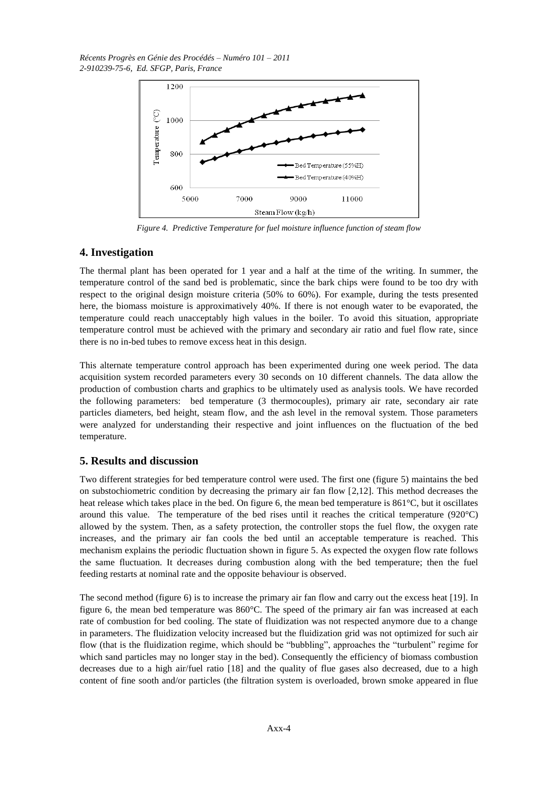*Récents Progrès en Génie des Procédés – Numéro 101 – 2011 2-910239-75-6, Ed. SFGP, Paris, France*



*Figure 4. Predictive Temperature for fuel moisture influence function of steam flow*

## **4. Investigation**

The thermal plant has been operated for 1 year and a half at the time of the writing. In summer, the temperature control of the sand bed is problematic, since the bark chips were found to be too dry with respect to the original design moisture criteria (50% to 60%). For example, during the tests presented here, the biomass moisture is approximatively 40%. If there is not enough water to be evaporated, the temperature could reach unacceptably high values in the boiler. To avoid this situation, appropriate temperature control must be achieved with the primary and secondary air ratio and fuel flow rate, since there is no in-bed tubes to remove excess heat in this design.

This alternate temperature control approach has been experimented during one week period. The data acquisition system recorded parameters every 30 seconds on 10 different channels. The data allow the production of combustion charts and graphics to be ultimately used as analysis tools. We have recorded the following parameters: bed temperature (3 thermocouples), primary air rate, secondary air rate particles diameters, bed height, steam flow, and the ash level in the removal system. Those parameters were analyzed for understanding their respective and joint influences on the fluctuation of the bed temperature.

# **5. Results and discussion**

Two different strategies for bed temperature control were used. The first one (figure 5) maintains the bed on substochiometric condition by decreasing the primary air fan flow [2,12]. This method decreases the heat release which takes place in the bed. On figure 6, the mean bed temperature is 861<sup>°</sup>C, but it oscillates around this value. The temperature of the bed rises until it reaches the critical temperature  $(920^{\circ}C)$ allowed by the system. Then, as a safety protection, the controller stops the fuel flow, the oxygen rate increases, and the primary air fan cools the bed until an acceptable temperature is reached. This mechanism explains the periodic fluctuation shown in figure 5. As expected the oxygen flow rate follows the same fluctuation. It decreases during combustion along with the bed temperature; then the fuel feeding restarts at nominal rate and the opposite behaviour is observed.

The second method (figure 6) is to increase the primary air fan flow and carry out the excess heat [19]. In figure 6, the mean bed temperature was 860°C. The speed of the primary air fan was increased at each rate of combustion for bed cooling. The state of fluidization was not respected anymore due to a change in parameters. The fluidization velocity increased but the fluidization grid was not optimized for such air flow (that is the fluidization regime, which should be "bubbling", approaches the "turbulent" regime for which sand particles may no longer stay in the bed). Consequently the efficiency of biomass combustion decreases due to a high air/fuel ratio [18] and the quality of flue gases also decreased, due to a high content of fine sooth and/or particles (the filtration system is overloaded, brown smoke appeared in flue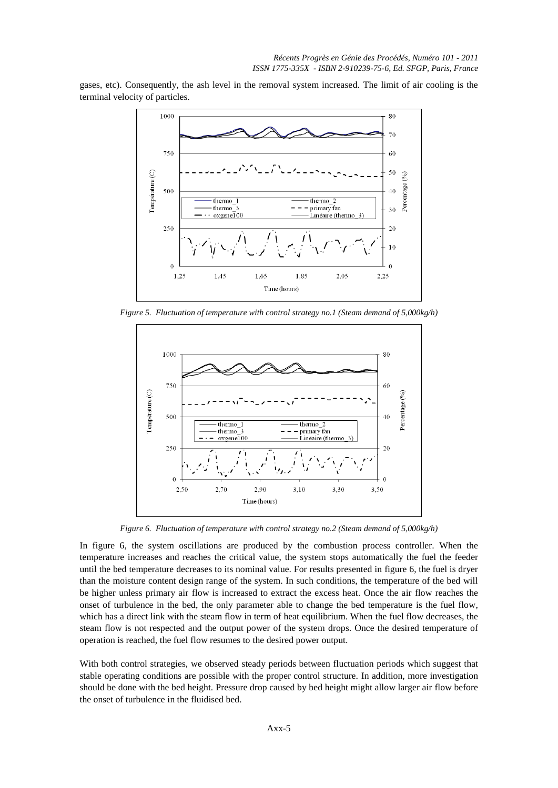gases, etc). Consequently, the ash level in the removal system increased. The limit of air cooling is the terminal velocity of particles.



*Figure 5. Fluctuation of temperature with control strategy no.1 (Steam demand of 5,000kg/h)*



*Figure 6. Fluctuation of temperature with control strategy no.2 (Steam demand of 5,000kg/h)*

In figure 6, the system oscillations are produced by the combustion process controller. When the temperature increases and reaches the critical value, the system stops automatically the fuel the feeder until the bed temperature decreases to its nominal value. For results presented in figure 6, the fuel is dryer than the moisture content design range of the system. In such conditions, the temperature of the bed will be higher unless primary air flow is increased to extract the excess heat. Once the air flow reaches the onset of turbulence in the bed, the only parameter able to change the bed temperature is the fuel flow, which has a direct link with the steam flow in term of heat equilibrium. When the fuel flow decreases, the steam flow is not respected and the output power of the system drops. Once the desired temperature of operation is reached, the fuel flow resumes to the desired power output.

With both control strategies, we observed steady periods between fluctuation periods which suggest that stable operating conditions are possible with the proper control structure. In addition, more investigation should be done with the bed height. Pressure drop caused by bed height might allow larger air flow before the onset of turbulence in the fluidised bed.